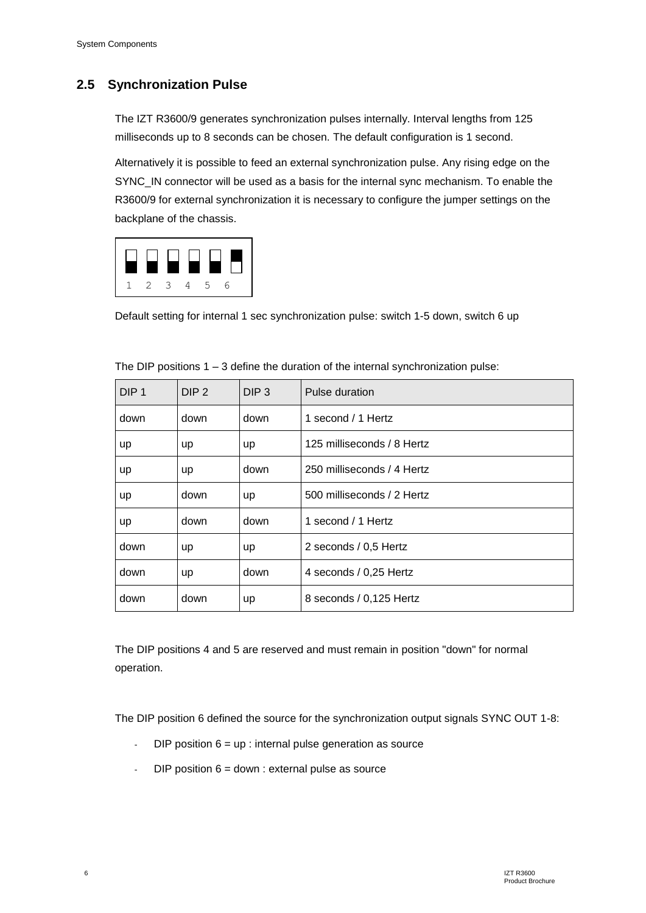# **2.5 Synchronization Pulse**

The IZT R3600/9 generates synchronization pulses internally. Interval lengths from 125 milliseconds up to 8 seconds can be chosen. The default configuration is 1 second.

Alternatively it is possible to feed an external synchronization pulse. Any rising edge on the SYNC\_IN connector will be used as a basis for the internal sync mechanism. To enable the R3600/9 for external synchronization it is necessary to configure the jumper settings on the backplane of the chassis.



Default setting for internal 1 sec synchronization pulse: switch 1-5 down, switch 6 up

| DIP <sub>1</sub> | DIP <sub>2</sub> | DIP <sub>3</sub> | Pulse duration             |
|------------------|------------------|------------------|----------------------------|
| down             | down             | down             | 1 second / 1 Hertz         |
| <b>up</b>        | up               | <b>up</b>        | 125 milliseconds / 8 Hertz |
| <b>up</b>        | up               | down             | 250 milliseconds / 4 Hertz |
| <b>up</b>        | down             | <b>up</b>        | 500 milliseconds / 2 Hertz |
| <b>up</b>        | down             | down             | 1 second / 1 Hertz         |
| down             | up               | <b>up</b>        | 2 seconds / 0,5 Hertz      |
| down             | up               | down             | 4 seconds / 0,25 Hertz     |
| down             | down             | up               | 8 seconds / 0,125 Hertz    |

The DIP positions  $1 - 3$  define the duration of the internal synchronization pulse:

The DIP positions 4 and 5 are reserved and must remain in position "down" for normal operation.

The DIP position 6 defined the source for the synchronization output signals SYNC OUT 1-8:

- $DIP$  position  $6 = up$ : internal pulse generation as source
- $DIP$  position  $6 =$  down : external pulse as source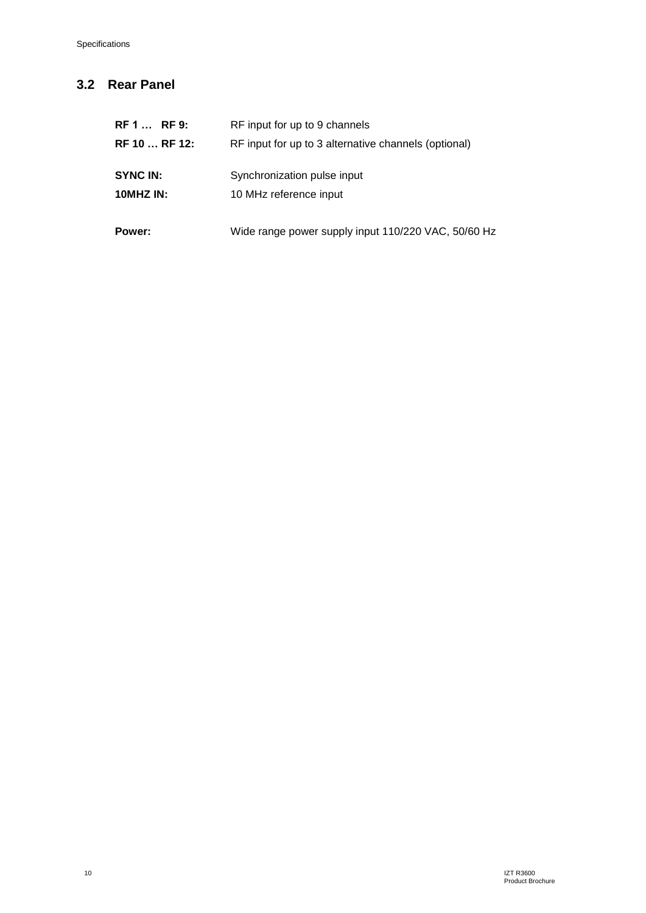# **3.2 Rear Panel**

| Wide range power supply input 110/220 VAC, 50/60 Hz |
|-----------------------------------------------------|
|                                                     |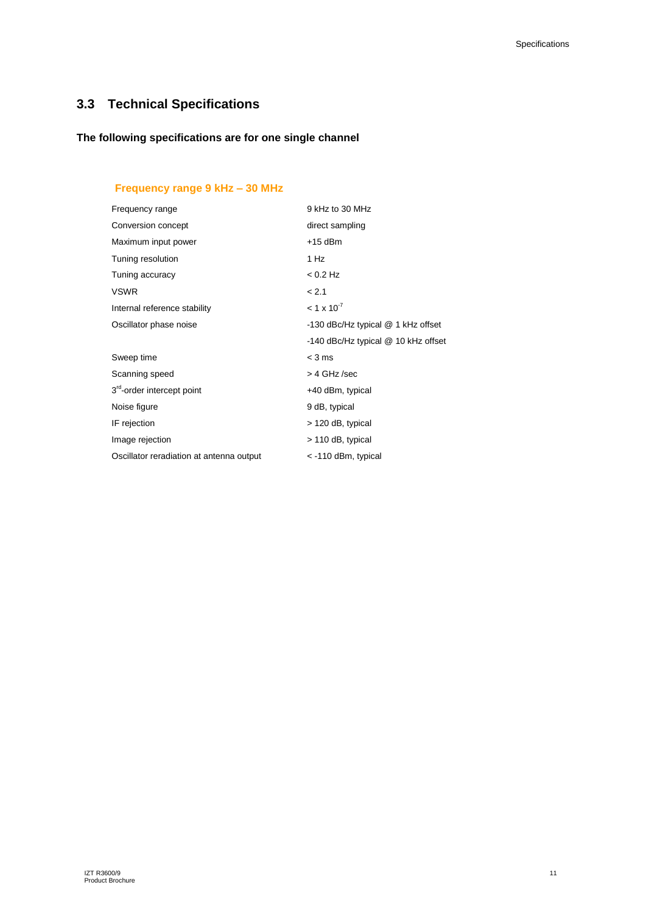# **3.3 Technical Specifications**

#### **The following specifications are for one single channel**

## **Frequency range 9 kHz – 30 MHz**

| Frequency range                          | 9 kHz to 30 MHz                     |
|------------------------------------------|-------------------------------------|
| Conversion concept                       | direct sampling                     |
| Maximum input power                      | $+15$ dBm                           |
| Tuning resolution                        | 1 Hz                                |
| Tuning accuracy                          | $< 0.2$ Hz                          |
| <b>VSWR</b>                              | < 2.1                               |
| Internal reference stability             | $< 1 \times 10^{-7}$                |
| Oscillator phase noise                   | -130 dBc/Hz typical @ 1 kHz offset  |
|                                          | -140 dBc/Hz typical @ 10 kHz offset |
| Sweep time                               | $<$ 3 ms                            |
| Scanning speed                           | > 4 GHz /sec                        |
| 3 <sup>rd</sup> -order intercept point   | +40 dBm, typical                    |
| Noise figure                             | 9 dB, typical                       |
| IF rejection                             | > 120 dB, typical                   |
| Image rejection                          | > 110 dB, typical                   |
| Oscillator reradiation at antenna output | $<$ -110 dBm, typical               |